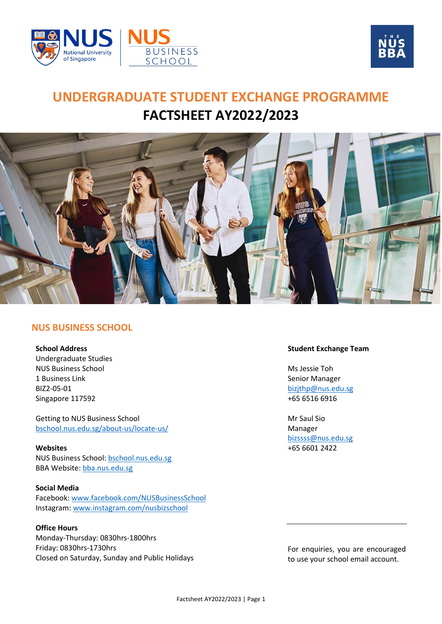



# **UNDERGRADUATE STUDENT EXCHANGE PROGRAMME FACTSHEET AY2022/2023**



## **NUS BUSINESS SCHOOL**

**School Address**

Undergraduate Studies NUS Business School 1 Business Link BIZ2-05-01 Singapore 117592

Getting to NUS Business School [bschool.nus.edu.sg/about-us/locate-us/](https://bschool.nus.edu.sg/about-us/locate-us/)

**Websites** NUS Business School[: bschool.nus.edu.sg](https://bschool.nus.edu.sg/) BBA Website: [bba.nus.edu.sg](https://bba.nus.edu.sg/)

**Social Media** Facebook: [www.facebook.com/NUSBusinessSchool](http://www.facebook.com/NUSBusinessSchool/) Instagram: [www.instagram.com/nusbizschool](http://www.instagram.com/nusbizschool/)

## **Office Hours**

Monday-Thursday: 0830hrs-1800hrs Friday: 0830hrs-1730hrs Closed on Saturday, Sunday and Public Holidays

## **Student Exchange Team**

Ms Jessie Toh Senior Manager [bizjthp@nus.edu.sg](mailto:bizjthp@nus.edu.sg) +65 6516 6916

Mr Saul Sio Manager [bizssss@nus.edu.sg](mailto:bizssss@nus.edu.sg) +65 6601 2422

For enquiries, you are encouraged to use your school email account.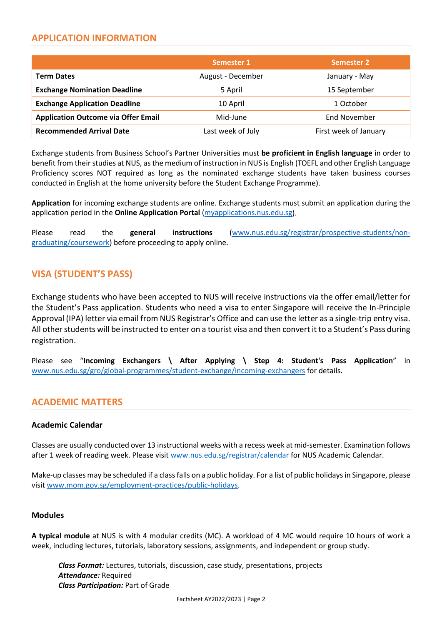# **APPLICATION INFORMATION**

|                                            | Semester 1        | <b>Semester 2</b>     |
|--------------------------------------------|-------------------|-----------------------|
| <b>Term Dates</b>                          | August - December | January - May         |
| <b>Exchange Nomination Deadline</b>        | 5 April           | 15 September          |
| <b>Exchange Application Deadline</b>       | 10 April          | 1 October             |
| <b>Application Outcome via Offer Email</b> | Mid-June          | End November          |
| <b>Recommended Arrival Date</b>            | Last week of July | First week of January |

Exchange students from Business School's Partner Universities must **be proficient in English language** in order to benefit from their studies at NUS, as the medium of instruction in NUS is English (TOEFL and other English Language Proficiency scores NOT required as long as the nominated exchange students have taken business courses conducted in English at the home university before the Student Exchange Programme).

**Application** for incoming exchange students are online. Exchange students must submit an application during the application period in the **Online Application Portal** [\(myapplications.nus.edu.sg\)](https://myapplications.nus.edu.sg/).

Please read the **general instructions** [\(www.nus.edu.sg/registrar/prospective-students/non](http://www.nus.edu.sg/registrar/prospective-students/non-graduating/coursework)[graduating/coursework\)](http://www.nus.edu.sg/registrar/prospective-students/non-graduating/coursework) before proceeding to apply online.

# **VISA (STUDENT'S PASS)**

Exchange students who have been accepted to NUS will receive instructions via the offer email/letter for the Student's Pass application. Students who need a visa to enter Singapore will receive the In-Principle Approval (IPA) letter via email from NUS Registrar's Office and can use the letter as a single-trip entry visa. All other students will be instructed to enter on a tourist visa and then convert it to a Student's Pass during registration.

Please see "**Incoming Exchangers \ After Applying \ Step 4: Student's Pass Application**" in [www.nus.edu.sg/gro/global-programmes/student-exchange/incoming-exchangers](https://www.nus.edu.sg/gro/global-programmes/student-exchange/incoming-exchangers#after-applying) for details.

# **ACADEMIC MATTERS**

## **Academic Calendar**

Classes are usually conducted over 13 instructional weeks with a recess week at mid-semester. Examination follows after 1 week of reading week. Please visit [www.nus.edu.sg/registrar/calendar](https://www.nus.edu.sg/registrar/calendar) for NUS Academic Calendar.

Make-up classes may be scheduled if a class falls on a public holiday. For a list of public holidays in Singapore, please visit [www.mom.gov.sg/employment-practices/public-holidays.](http://www.mom.gov.sg/employment-practices/public-holidays)

## **Modules**

**A typical module** at NUS is with 4 modular credits (MC). A workload of 4 MC would require 10 hours of work a week, including lectures, tutorials, laboratory sessions, assignments, and independent or group study.

*Class Format:* Lectures, tutorials, discussion, case study, presentations, projects *Attendance:* Required *Class Participation:* Part of Grade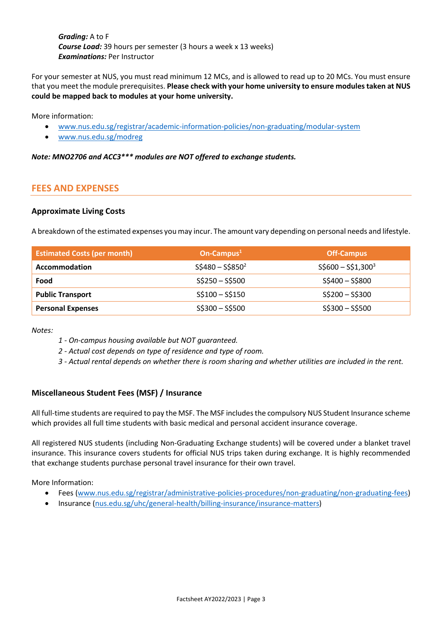*Grading:* A to F *Course Load:* 39 hours per semester (3 hours a week x 13 weeks) *Examinations:* Per Instructor

For your semester at NUS, you must read minimum 12 MCs, and is allowed to read up to 20 MCs. You must ensure that you meet the module prerequisites. **Please check with your home university to ensure modules taken at NUS could be mapped back to modules at your home university.**

More information:

- [www.nus.edu.sg/registrar/academic-information-policies/non-graduating/modular-system](https://www.nus.edu.sg/registrar/academic-information-policies/non-graduating/modular-system)
- [www.nus.edu.sg/modreg](https://www.nus.edu.sg/modreg/)

*Note: MNO2706 and ACC3\*\*\* modules are NOT offered to exchange students.*

# **FEES AND EXPENSES**

## **Approximate Living Costs**

A breakdown of the estimated expenses you may incur. The amount vary depending on personal needs and lifestyle.

| <b>Estimated Costs (per month)</b> | On-Campus $1$   | <b>Off-Campus</b>   |
|------------------------------------|-----------------|---------------------|
| Accommodation                      | $S$480-S$8502$  | $$5600 - $51,300^3$ |
| Food                               | $S$250-S$500$   | $$5400 - $5800$     |
| <b>Public Transport</b>            | $S$100-S$150$   | $S$200-S$300$       |
| <b>Personal Expenses</b>           | $$5300 - $5500$ | $$5300 - $5500$     |

*Notes:*

- *1 - On-campus housing available but NOT guaranteed.*
- *2 - Actual cost depends on type of residence and type of room.*
- *3 - Actual rental depends on whether there is room sharing and whether utilities are included in the rent.*

## **Miscellaneous Student Fees (MSF) / Insurance**

All full-time students are required to pay the MSF. The MSF includes the compulsory NUS Student Insurance scheme which provides all full time students with basic medical and personal accident insurance coverage.

All registered NUS students (including Non-Graduating Exchange students) will be covered under a blanket travel insurance. This insurance covers students for official NUS trips taken during exchange. It is highly recommended that exchange students purchase personal travel insurance for their own travel.

More Information:

- Fees [\(www.nus.edu.sg/registrar/administrative-policies-procedures/non-graduating/non-graduating-fees\)](https://www.nus.edu.sg/registrar/administrative-policies-procedures/non-graduating/non-graduating-fees)
- Insurance [\(nus.edu.sg/uhc/general-health/billing-insurance/insurance-matters\)](https://nus.edu.sg/uhc/general-health/billing-insurance/insurance-matters)